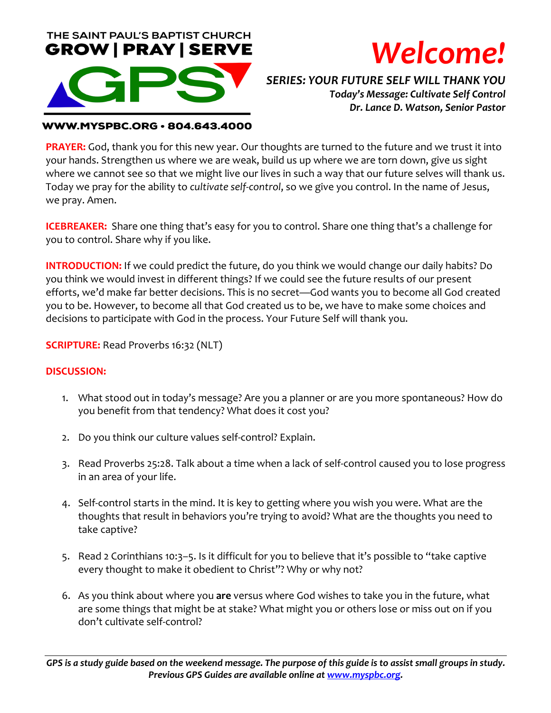



*SERIES: YOUR FUTURE SELF WILL THANK YOU Today's Message: Cultivate Self Control Dr. Lance D. Watson, Senior Pastor*

#### **WWW.MYSPBC.ORG · 804.643.4000**

**PRAYER:** God, thank you for this new year. Our thoughts are turned to the future and we trust it into your hands. Strengthen us where we are weak, build us up where we are torn down, give us sight where we cannot see so that we might live our lives in such a way that our future selves will thank us. Today we pray for the ability to *cultivate self-control*, so we give you control. In the name of Jesus, we pray. Amen.

**ICEBREAKER:** Share one thing that's easy for you to control. Share one thing that's a challenge for you to control. Share why if you like.

**INTRODUCTION:** If we could predict the future, do you think we would change our daily habits? Do you think we would invest in different things? If we could see the future results of our present efforts, we'd make far better decisions. This is no secret—God wants you to become all God created you to be. However, to become all that God created us to be, we have to make some choices and decisions to participate with God in the process. Your Future Self will thank you.

**SCRIPTURE:** Read Proverbs 16:32 (NLT)

### **DISCUSSION:**

- 1. What stood out in today's message? Are you a planner or are you more spontaneous? How do you benefit from that tendency? What does it cost you?
- 2. Do you think our culture values self-control? Explain.
- 3. Read Proverbs 25:28. Talk about a time when a lack of self-control caused you to lose progress in an area of your life.
- 4. Self-control starts in the mind. It is key to getting where you wish you were. What are the thoughts that result in behaviors you're trying to avoid? What are the thoughts you need to take captive?
- 5. Read 2 Corinthians 10:3–5. Is it difficult for you to believe that it's possible to "take captive every thought to make it obedient to Christ"? Why or why not?
- 6. As you think about where you **are** versus where God wishes to take you in the future, what are some things that might be at stake? What might you or others lose or miss out on if you don't cultivate self-control?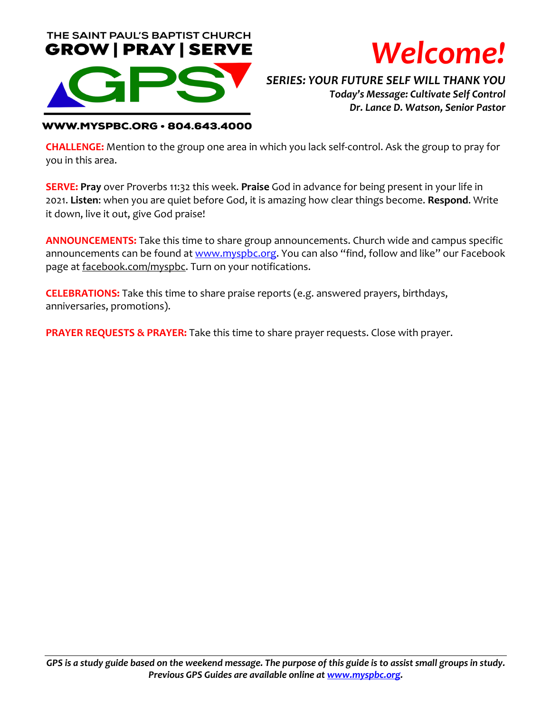



*SERIES: YOUR FUTURE SELF WILL THANK YOU Today's Message: Cultivate Self Control Dr. Lance D. Watson, Senior Pastor*

#### **WWW.MYSPBC.ORG · 804.643.4000**

**CHALLENGE:** Mention to the group one area in which you lack self-control. Ask the group to pray for you in this area.

**SERVE: Pray** over Proverbs 11:32 this week. **Praise** God in advance for being present in your life in 2021. **Listen**: when you are quiet before God, it is amazing how clear things become. **Respond**. Write it down, live it out, give God praise!

**ANNOUNCEMENTS:** Take this time to share group announcements. Church wide and campus specific announcements can be found at www.myspbc.org. You can also "find, follow and like" our Facebook page at facebook.com/myspbc. Turn on your notifications.

**CELEBRATIONS:** Take this time to share praise reports (e.g. answered prayers, birthdays, anniversaries, promotions).

**PRAYER REQUESTS & PRAYER:** Take this time to share prayer requests. Close with prayer.